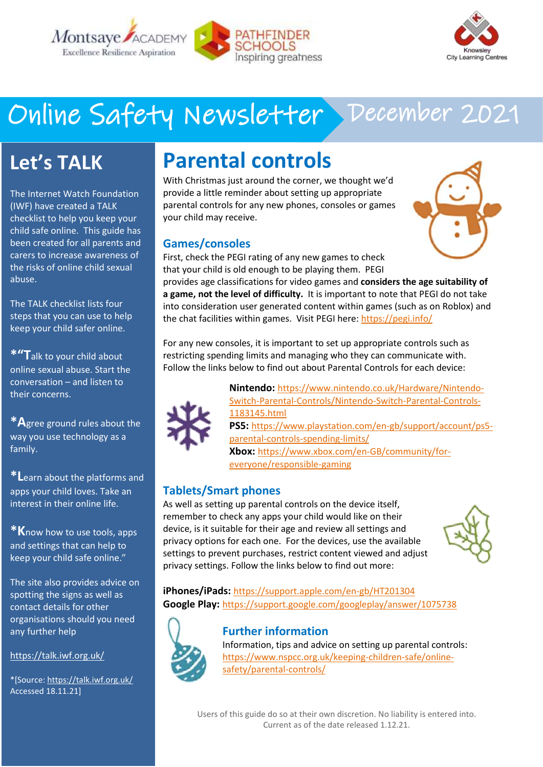



# Online Safety Newsletter December 2021

## **Let's TALK**

The Internet Watch Foundation (IWF) have created a TALK checklist to help you keep your child safe online. This guide has been created for all parents and carers to increase awareness of the risks of online child sexual abuse.

The TALK checklist lists four steps that you can use to help keep your child safer online.

**\*"T**alk to your child about online sexual abuse. Start the conversation – and listen to their concerns.

**\*A**gree ground rules about the way you use technology as a family.

**\*L**earn about the platforms and apps your child loves. Take an interest in their online life.

**\*K**now how to use tools, apps and settings that can help to keep your child safe online."

The site also provides advice on spotting the signs as well as contact details for other organisations should you need any further help

<https://talk.iwf.org.uk/>

\*[Source: <https://talk.iwf.org.uk/> Accessed 18.11.21]

## **Parental controls**

With Christmas just around the corner, we thought we'd provide a little reminder about setting up appropriate parental controls for any new phones, consoles or games your child may receive.

#### **Games/consoles**

First, check the PEGI rating of any new games to check that your child is old enough to be playing them. PEGI



provides age classifications for video games and **considers the age suitability of a game, not the level of difficulty.** It is important to note that PEGI do not take into consideration user generated content within games (such as on Roblox) and the chat facilities within games. Visit PEGI here: <https://pegi.info/>

For any new consoles, it is important to set up appropriate controls such as restricting spending limits and managing who they can communicate with. Follow the links below to find out about Parental Controls for each device:



**Nintendo:** [https://www.nintendo.co.uk/Hardware/Nintendo-](https://www.nintendo.co.uk/Hardware/Nintendo-Switch-Parental-Controls/Nintendo-Switch-Parental-Controls-1183145.html)[Switch-Parental-Controls/Nintendo-Switch-Parental-Controls-](https://www.nintendo.co.uk/Hardware/Nintendo-Switch-Parental-Controls/Nintendo-Switch-Parental-Controls-1183145.html)[1183145.html](https://www.nintendo.co.uk/Hardware/Nintendo-Switch-Parental-Controls/Nintendo-Switch-Parental-Controls-1183145.html) **PS5:** [https://www.playstation.com/en-gb/support/account/ps5](https://www.playstation.com/en-gb/support/account/ps5-parental-controls-spending-limits/) [parental-controls-spending-limits/](https://www.playstation.com/en-gb/support/account/ps5-parental-controls-spending-limits/) **Xbox:** [https://www.xbox.com/en-GB/community/for](https://www.xbox.com/en-GB/community/for-everyone/responsible-gaming)[everyone/responsible-gaming](https://www.xbox.com/en-GB/community/for-everyone/responsible-gaming)

#### **Tablets/Smart phones**

As well as setting up parental controls on the device itself, remember to check any apps your child would like on their device, is it suitable for their age and review all settings and privacy options for each one. For the devices, use the available settings to prevent purchases, restrict content viewed and adjust privacy settings. Follow the links below to find out more:



**iPhones/iPads:** <https://support.apple.com/en-gb/HT201304> **Google Play:** <https://support.google.com/googleplay/answer/1075738>



#### **Further information**

Information, tips and advice on setting up parental controls: [https://www.nspcc.org.uk/keeping-children-safe/online](https://www.nspcc.org.uk/keeping-children-safe/online-safety/parental-controls/)[safety/parental-controls/](https://www.nspcc.org.uk/keeping-children-safe/online-safety/parental-controls/) 

Users of this guide do so at their own discretion. No liability is entered into. Current as of the date released 1.12.21.